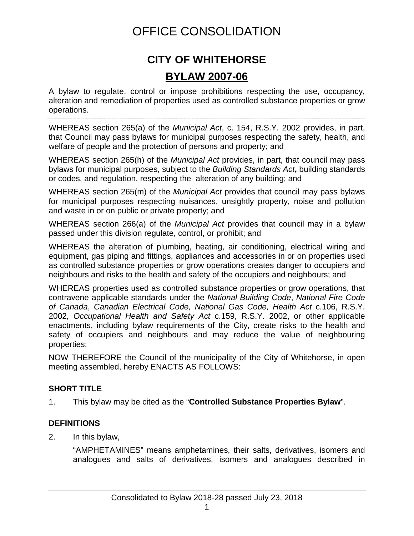# OFFICE CONSOLIDATION

# **CITY OF WHITEHORSE BYLAW 2007-06**

A bylaw to regulate, control or impose prohibitions respecting the use, occupancy, alteration and remediation of properties used as controlled substance properties or grow operations.

WHEREAS section 265(a) of the *Municipal Act*, c. 154, R.S.Y. 2002 provides, in part, that Council may pass bylaws for municipal purposes respecting the safety, health, and welfare of people and the protection of persons and property; and

WHEREAS section 265(h) of the *Municipal Act* provides, in part, that council may pass bylaws for municipal purposes, subject to the *Building Standards Act***,** building standards or codes, and regulation, respecting the alteration of any building; and

WHEREAS section 265(m) of the *Municipal Act* provides that council may pass bylaws for municipal purposes respecting nuisances, unsightly property, noise and pollution and waste in or on public or private property; and

WHEREAS section 266(a) of the *Municipal Act* provides that council may in a bylaw passed under this division regulate, control, or prohibit; and

WHEREAS the alteration of plumbing, heating, air conditioning, electrical wiring and equipment, gas piping and fittings, appliances and accessories in or on properties used as controlled substance properties or grow operations creates danger to occupiers and neighbours and risks to the health and safety of the occupiers and neighbours; and

WHEREAS properties used as controlled substance properties or grow operations, that contravene applicable standards under the *National Building Code*, *National Fire Code of Canada*, *Canadian Electrical Code, National Gas Code, Health Act* c.106, R.S.Y. 2002*, Occupational Health and Safety Act* c.159, R.S.Y. 2002, or other applicable enactments, including bylaw requirements of the City, create risks to the health and safety of occupiers and neighbours and may reduce the value of neighbouring properties;

NOW THEREFORE the Council of the municipality of the City of Whitehorse, in open meeting assembled, hereby ENACTS AS FOLLOWS:

### **SHORT TITLE**

1. This bylaw may be cited as the "**Controlled Substance Properties Bylaw**".

### **DEFINITIONS**

2. In this bylaw,

"AMPHETAMINES" means amphetamines, their salts, derivatives, isomers and analogues and salts of derivatives, isomers and analogues described in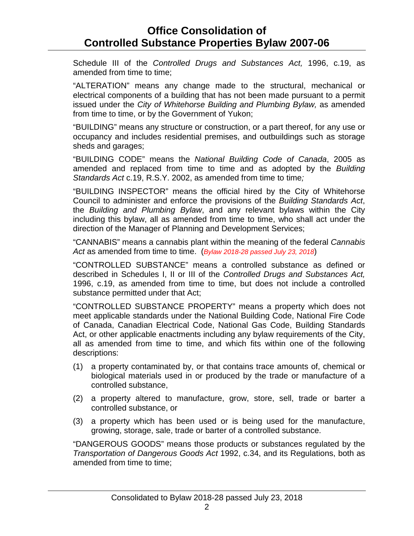Schedule III of the *Controlled Drugs and Substances Act,* 1996, c.19, as amended from time to time;

"ALTERATION" means any change made to the structural, mechanical or electrical components of a building that has not been made pursuant to a permit issued under the *City of Whitehorse Building and Plumbing Bylaw,* as amended from time to time, or by the Government of Yukon;

"BUILDING" means any structure or construction, or a part thereof, for any use or occupancy and includes residential premises, and outbuildings such as storage sheds and garages;

"BUILDING CODE" means the *National Building Code of Canada*, 2005 as amended and replaced from time to time and as adopted by the *Building Standards Act* c.19, R.S.Y. 2002, as amended from time to time*;*

"BUILDING INSPECTOR" means the official hired by the City of Whitehorse Council to administer and enforce the provisions of the *Building Standards Act*, the *Building and Plumbing Bylaw*, and any relevant bylaws within the City including this bylaw, all as amended from time to time, who shall act under the direction of the Manager of Planning and Development Services;

"CANNABIS" means a cannabis plant within the meaning of the federal *Cannabis Act* as amended from time to time. (*Bylaw 2018-28 passed July 23, 2018*)

"CONTROLLED SUBSTANCE" means a controlled substance as defined or described in Schedules I, II or III of the *Controlled Drugs and Substances Act,* 1996, c.19, as amended from time to time, but does not include a controlled substance permitted under that Act;

"CONTROLLED SUBSTANCE PROPERTY" means a property which does not meet applicable standards under the National Building Code, National Fire Code of Canada, Canadian Electrical Code, National Gas Code, Building Standards Act, or other applicable enactments including any bylaw requirements of the City, all as amended from time to time, and which fits within one of the following descriptions:

- (1) a property contaminated by, or that contains trace amounts of, chemical or biological materials used in or produced by the trade or manufacture of a controlled substance,
- (2) a property altered to manufacture, grow, store, sell, trade or barter a controlled substance, or
- (3) a property which has been used or is being used for the manufacture, growing, storage, sale, trade or barter of a controlled substance.

"DANGEROUS GOODS" means those products or substances regulated by the *Transportation of Dangerous Goods Act* 1992, c.34, and its Regulations, both as amended from time to time;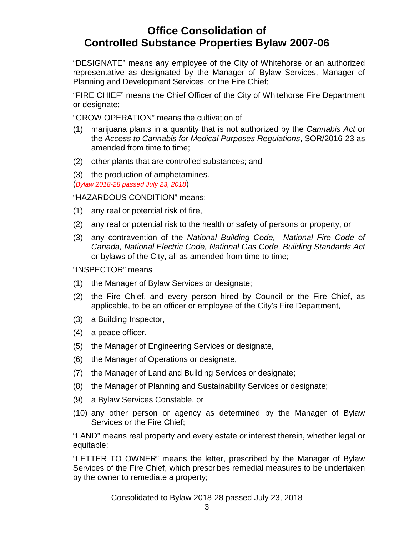"DESIGNATE" means any employee of the City of Whitehorse or an authorized representative as designated by the Manager of Bylaw Services, Manager of Planning and Development Services, or the Fire Chief;

"FIRE CHIEF" means the Chief Officer of the City of Whitehorse Fire Department or designate;

"GROW OPERATION" means the cultivation of

- (1) marijuana plants in a quantity that is not authorized by the *Cannabis Act* or the *Access to Cannabis for Medical Purposes Regulations*, SOR/2016-23 as amended from time to time;
- (2) other plants that are controlled substances; and

(3) the production of amphetamines. (*Bylaw 2018-28 passed July 23, 2018*)

"HAZARDOUS CONDITION" means:

- (1) any real or potential risk of fire,
- (2) any real or potential risk to the health or safety of persons or property, or
- (3) any contravention of the *National Building Code, National Fire Code of Canada, National Electric Code, National Gas Code, Building Standards Act*  or bylaws of the City, all as amended from time to time;

"INSPECTOR" means

- (1) the Manager of Bylaw Services or designate;
- (2) the Fire Chief, and every person hired by Council or the Fire Chief, as applicable, to be an officer or employee of the City's Fire Department,
- (3) a Building Inspector,
- (4) a peace officer,
- (5) the Manager of Engineering Services or designate,
- (6) the Manager of Operations or designate,
- (7) the Manager of Land and Building Services or designate;
- (8) the Manager of Planning and Sustainability Services or designate;
- (9) a Bylaw Services Constable, or
- (10) any other person or agency as determined by the Manager of Bylaw Services or the Fire Chief;

"LAND" means real property and every estate or interest therein, whether legal or equitable;

"LETTER TO OWNER" means the letter, prescribed by the Manager of Bylaw Services of the Fire Chief, which prescribes remedial measures to be undertaken by the owner to remediate a property;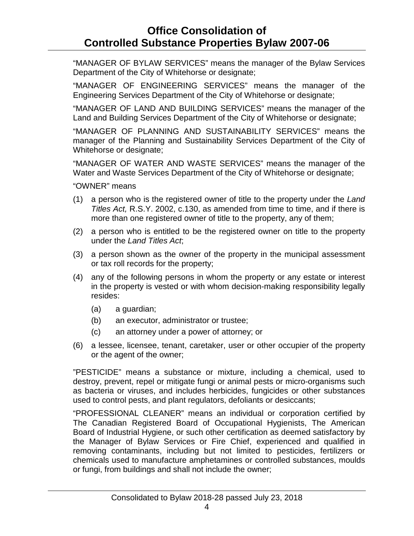"MANAGER OF BYLAW SERVICES" means the manager of the Bylaw Services Department of the City of Whitehorse or designate;

"MANAGER OF ENGINEERING SERVICES" means the manager of the Engineering Services Department of the City of Whitehorse or designate;

"MANAGER OF LAND AND BUILDING SERVICES" means the manager of the Land and Building Services Department of the City of Whitehorse or designate;

"MANAGER OF PLANNING AND SUSTAINABILITY SERVICES" means the manager of the Planning and Sustainability Services Department of the City of Whitehorse or designate;

"MANAGER OF WATER AND WASTE SERVICES" means the manager of the Water and Waste Services Department of the City of Whitehorse or designate;

"OWNER" means

- (1) a person who is the registered owner of title to the property under the *Land Titles Act,* R.S.Y. 2002, c.130, as amended from time to time, and if there is more than one registered owner of title to the property, any of them;
- (2) a person who is entitled to be the registered owner on title to the property under the *Land Titles Act*;
- (3) a person shown as the owner of the property in the municipal assessment or tax roll records for the property;
- (4) any of the following persons in whom the property or any estate or interest in the property is vested or with whom decision-making responsibility legally resides:
	- (a) a guardian;
	- (b) an executor, administrator or trustee;
	- (c) an attorney under a power of attorney; or
- (6) a lessee, licensee, tenant, caretaker, user or other occupier of the property or the agent of the owner;

"PESTICIDE" means a substance or mixture, including a chemical, used to destroy, prevent, repel or mitigate fungi or animal pests or micro-organisms such as bacteria or viruses, and includes herbicides, fungicides or other substances used to control pests, and plant regulators, defoliants or desiccants;

"PROFESSIONAL CLEANER" means an individual or corporation certified by The Canadian Registered Board of Occupational Hygienists, The American Board of Industrial Hygiene, or such other certification as deemed satisfactory by the Manager of Bylaw Services or Fire Chief, experienced and qualified in removing contaminants, including but not limited to pesticides, fertilizers or chemicals used to manufacture amphetamines or controlled substances, moulds or fungi, from buildings and shall not include the owner;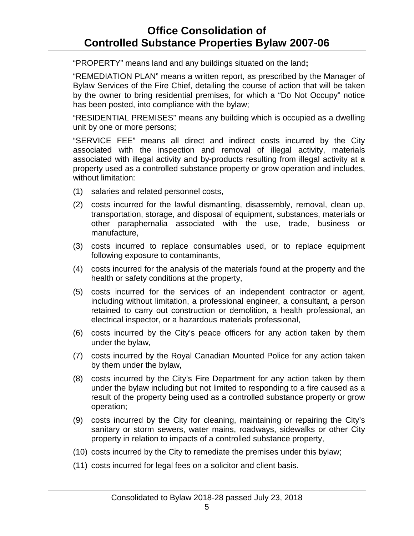"PROPERTY" means land and any buildings situated on the land**;**

"REMEDIATION PLAN" means a written report, as prescribed by the Manager of Bylaw Services of the Fire Chief, detailing the course of action that will be taken by the owner to bring residential premises, for which a "Do Not Occupy" notice has been posted, into compliance with the bylaw;

"RESIDENTIAL PREMISES" means any building which is occupied as a dwelling unit by one or more persons;

"SERVICE FEE" means all direct and indirect costs incurred by the City associated with the inspection and removal of illegal activity, materials associated with illegal activity and by-products resulting from illegal activity at a property used as a controlled substance property or grow operation and includes, without limitation:

- (1) salaries and related personnel costs,
- (2) costs incurred for the lawful dismantling, disassembly, removal, clean up, transportation, storage, and disposal of equipment, substances, materials or other paraphernalia associated with the use, trade, business or manufacture,
- (3) costs incurred to replace consumables used, or to replace equipment following exposure to contaminants,
- (4) costs incurred for the analysis of the materials found at the property and the health or safety conditions at the property,
- (5) costs incurred for the services of an independent contractor or agent, including without limitation, a professional engineer, a consultant, a person retained to carry out construction or demolition, a health professional, an electrical inspector, or a hazardous materials professional,
- (6) costs incurred by the City's peace officers for any action taken by them under the bylaw,
- (7) costs incurred by the Royal Canadian Mounted Police for any action taken by them under the bylaw,
- (8) costs incurred by the City's Fire Department for any action taken by them under the bylaw including but not limited to responding to a fire caused as a result of the property being used as a controlled substance property or grow operation;
- (9) costs incurred by the City for cleaning, maintaining or repairing the City's sanitary or storm sewers, water mains, roadways, sidewalks or other City property in relation to impacts of a controlled substance property,
- (10) costs incurred by the City to remediate the premises under this bylaw;
- (11) costs incurred for legal fees on a solicitor and client basis.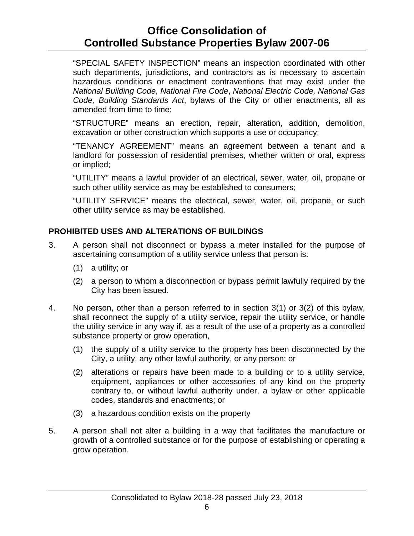"SPECIAL SAFETY INSPECTION" means an inspection coordinated with other such departments, jurisdictions, and contractors as is necessary to ascertain hazardous conditions or enactment contraventions that may exist under the *National Building Code, National Fire Code*, *National Electric Code, National Gas Code, Building Standards Act*, bylaws of the City or other enactments, all as amended from time to time;

"STRUCTURE" means an erection, repair, alteration, addition, demolition, excavation or other construction which supports a use or occupancy;

"TENANCY AGREEMENT" means an agreement between a tenant and a landlord for possession of residential premises, whether written or oral, express or implied;

"UTILITY" means a lawful provider of an electrical, sewer, water, oil, propane or such other utility service as may be established to consumers;

"UTILITY SERVICE" means the electrical, sewer, water, oil, propane, or such other utility service as may be established.

### **PROHIBITED USES AND ALTERATIONS OF BUILDINGS**

- 3. A person shall not disconnect or bypass a meter installed for the purpose of ascertaining consumption of a utility service unless that person is:
	- (1) a utility; or
	- (2) a person to whom a disconnection or bypass permit lawfully required by the City has been issued.
- 4. No person, other than a person referred to in section 3(1) or 3(2) of this bylaw, shall reconnect the supply of a utility service, repair the utility service, or handle the utility service in any way if, as a result of the use of a property as a controlled substance property or grow operation,
	- (1) the supply of a utility service to the property has been disconnected by the City, a utility, any other lawful authority, or any person; or
	- (2) alterations or repairs have been made to a building or to a utility service, equipment, appliances or other accessories of any kind on the property contrary to, or without lawful authority under, a bylaw or other applicable codes, standards and enactments; or
	- (3) a hazardous condition exists on the property
- 5. A person shall not alter a building in a way that facilitates the manufacture or growth of a controlled substance or for the purpose of establishing or operating a grow operation.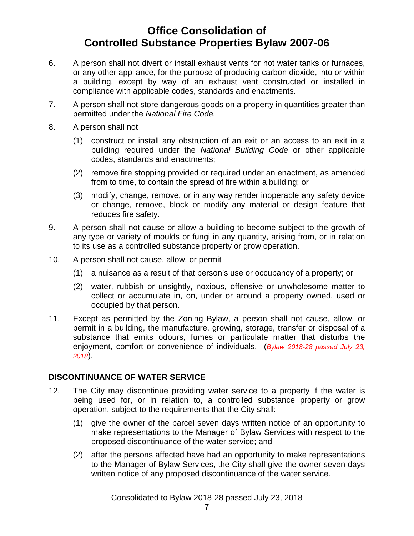- 6. A person shall not divert or install exhaust vents for hot water tanks or furnaces, or any other appliance, for the purpose of producing carbon dioxide, into or within a building, except by way of an exhaust vent constructed or installed in compliance with applicable codes, standards and enactments.
- 7. A person shall not store dangerous goods on a property in quantities greater than permitted under the *National Fire Code.*
- 8. A person shall not
	- (1) construct or install any obstruction of an exit or an access to an exit in a building required under the *National Building Code* or other applicable codes, standards and enactments;
	- (2) remove fire stopping provided or required under an enactment, as amended from to time, to contain the spread of fire within a building; or
	- (3) modify, change, remove, or in any way render inoperable any safety device or change, remove, block or modify any material or design feature that reduces fire safety.
- 9. A person shall not cause or allow a building to become subject to the growth of any type or variety of moulds or fungi in any quantity, arising from, or in relation to its use as a controlled substance property or grow operation.
- 10. A person shall not cause, allow, or permit
	- (1) a nuisance as a result of that person's use or occupancy of a property; or
	- (2) water, rubbish or unsightly**,** noxious, offensive or unwholesome matter to collect or accumulate in, on, under or around a property owned, used or occupied by that person.
- 11. Except as permitted by the Zoning Bylaw, a person shall not cause, allow, or permit in a building, the manufacture, growing, storage, transfer or disposal of a substance that emits odours, fumes or particulate matter that disturbs the enjoyment, comfort or convenience of individuals. (*Bylaw 2018-28 passed July 23, 2018*).

### **DISCONTINUANCE OF WATER SERVICE**

- 12. The City may discontinue providing water service to a property if the water is being used for, or in relation to, a controlled substance property or grow operation, subject to the requirements that the City shall:
	- (1) give the owner of the parcel seven days written notice of an opportunity to make representations to the Manager of Bylaw Services with respect to the proposed discontinuance of the water service; and
	- (2) after the persons affected have had an opportunity to make representations to the Manager of Bylaw Services, the City shall give the owner seven days written notice of any proposed discontinuance of the water service.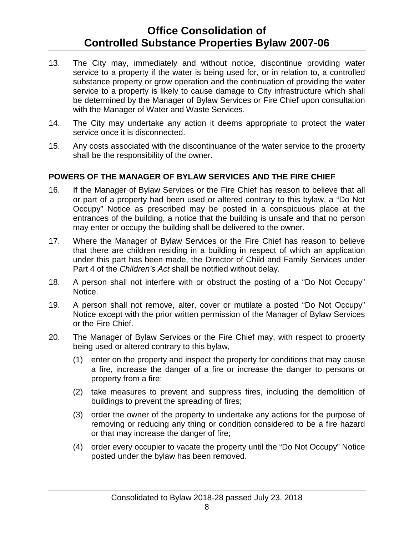- 13. The City may, immediately and without notice, discontinue providing water service to a property if the water is being used for, or in relation to, a controlled substance property or grow operation and the continuation of providing the water service to a property is likely to cause damage to City infrastructure which shall be determined by the Manager of Bylaw Services or Fire Chief upon consultation with the Manager of Water and Waste Services.
- 14. The City may undertake any action it deems appropriate to protect the water service once it is disconnected.
- 15. Any costs associated with the discontinuance of the water service to the property shall be the responsibility of the owner.

### **POWERS OF THE MANAGER OF BYLAW SERVICES AND THE FIRE CHIEF**

- 16. If the Manager of Bylaw Services or the Fire Chief has reason to believe that all or part of a property had been used or altered contrary to this bylaw, a "Do Not Occupy" Notice as prescribed may be posted in a conspicuous place at the entrances of the building, a notice that the building is unsafe and that no person may enter or occupy the building shall be delivered to the owner.
- 17. Where the Manager of Bylaw Services or the Fire Chief has reason to believe that there are children residing in a building in respect of which an application under this part has been made, the Director of Child and Family Services under Part 4 of the *Children's Act* shall be notified without delay.
- 18. A person shall not interfere with or obstruct the posting of a "Do Not Occupy" Notice.
- 19. A person shall not remove, alter, cover or mutilate a posted "Do Not Occupy" Notice except with the prior written permission of the Manager of Bylaw Services or the Fire Chief.
- 20. The Manager of Bylaw Services or the Fire Chief may, with respect to property being used or altered contrary to this bylaw,
	- (1) enter on the property and inspect the property for conditions that may cause a fire, increase the danger of a fire or increase the danger to persons or property from a fire;
	- (2) take measures to prevent and suppress fires, including the demolition of buildings to prevent the spreading of fires;
	- (3) order the owner of the property to undertake any actions for the purpose of removing or reducing any thing or condition considered to be a fire hazard or that may increase the danger of fire;
	- (4) order every occupier to vacate the property until the "Do Not Occupy" Notice posted under the bylaw has been removed.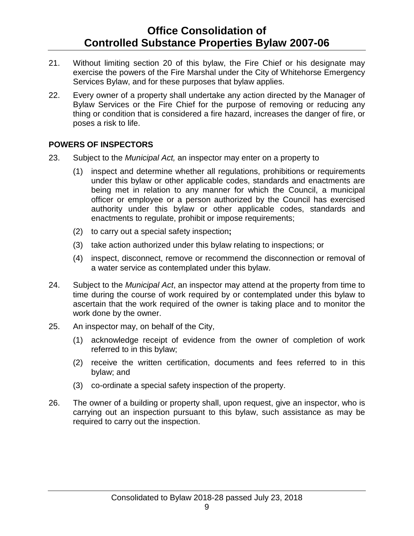- 21. Without limiting section 20 of this bylaw, the Fire Chief or his designate may exercise the powers of the Fire Marshal under the City of Whitehorse Emergency Services Bylaw, and for these purposes that bylaw applies.
- 22. Every owner of a property shall undertake any action directed by the Manager of Bylaw Services or the Fire Chief for the purpose of removing or reducing any thing or condition that is considered a fire hazard, increases the danger of fire, or poses a risk to life.

#### **POWERS OF INSPECTORS**

- 23. Subject to the *Municipal Act,* an inspector may enter on a property to
	- (1) inspect and determine whether all regulations, prohibitions or requirements under this bylaw or other applicable codes, standards and enactments are being met in relation to any manner for which the Council, a municipal officer or employee or a person authorized by the Council has exercised authority under this bylaw or other applicable codes, standards and enactments to regulate, prohibit or impose requirements;
	- (2) to carry out a special safety inspection**;**
	- (3) take action authorized under this bylaw relating to inspections; or
	- (4) inspect, disconnect, remove or recommend the disconnection or removal of a water service as contemplated under this bylaw.
- 24. Subject to the *Municipal Act*, an inspector may attend at the property from time to time during the course of work required by or contemplated under this bylaw to ascertain that the work required of the owner is taking place and to monitor the work done by the owner.
- 25. An inspector may, on behalf of the City,
	- (1) acknowledge receipt of evidence from the owner of completion of work referred to in this bylaw;
	- (2) receive the written certification, documents and fees referred to in this bylaw; and
	- (3) co-ordinate a special safety inspection of the property.
- 26. The owner of a building or property shall, upon request, give an inspector, who is carrying out an inspection pursuant to this bylaw, such assistance as may be required to carry out the inspection.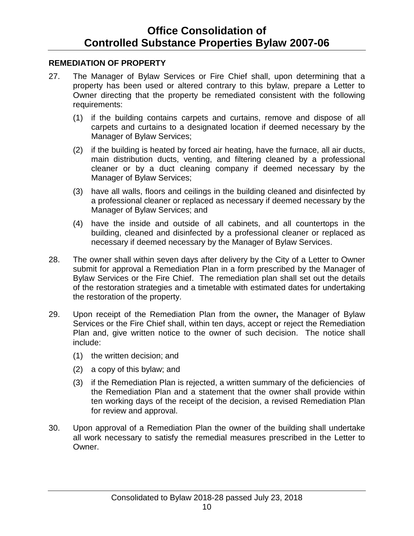### **REMEDIATION OF PROPERTY**

- 27. The Manager of Bylaw Services or Fire Chief shall, upon determining that a property has been used or altered contrary to this bylaw, prepare a Letter to Owner directing that the property be remediated consistent with the following requirements:
	- (1) if the building contains carpets and curtains, remove and dispose of all carpets and curtains to a designated location if deemed necessary by the Manager of Bylaw Services;
	- (2) if the building is heated by forced air heating, have the furnace, all air ducts, main distribution ducts, venting, and filtering cleaned by a professional cleaner or by a duct cleaning company if deemed necessary by the Manager of Bylaw Services;
	- (3) have all walls, floors and ceilings in the building cleaned and disinfected by a professional cleaner or replaced as necessary if deemed necessary by the Manager of Bylaw Services; and
	- (4) have the inside and outside of all cabinets, and all countertops in the building, cleaned and disinfected by a professional cleaner or replaced as necessary if deemed necessary by the Manager of Bylaw Services.
- 28. The owner shall within seven days after delivery by the City of a Letter to Owner submit for approval a Remediation Plan in a form prescribed by the Manager of Bylaw Services or the Fire Chief. The remediation plan shall set out the details of the restoration strategies and a timetable with estimated dates for undertaking the restoration of the property.
- 29. Upon receipt of the Remediation Plan from the owner**,** the Manager of Bylaw Services or the Fire Chief shall, within ten days, accept or reject the Remediation Plan and, give written notice to the owner of such decision. The notice shall include:
	- (1) the written decision; and
	- (2) a copy of this bylaw; and
	- (3) if the Remediation Plan is rejected, a written summary of the deficiencies of the Remediation Plan and a statement that the owner shall provide within ten working days of the receipt of the decision, a revised Remediation Plan for review and approval.
- 30. Upon approval of a Remediation Plan the owner of the building shall undertake all work necessary to satisfy the remedial measures prescribed in the Letter to Owner.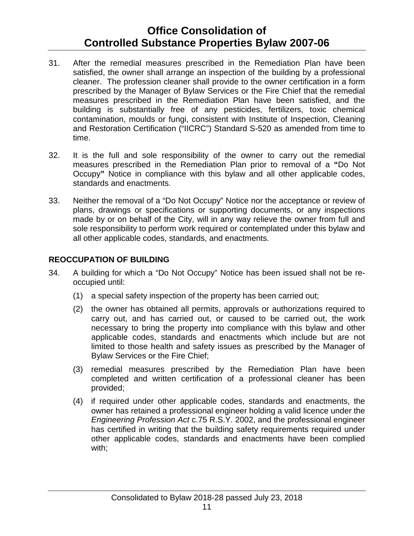- 31. After the remedial measures prescribed in the Remediation Plan have been satisfied, the owner shall arrange an inspection of the building by a professional cleaner. The profession cleaner shall provide to the owner certification in a form prescribed by the Manager of Bylaw Services or the Fire Chief that the remedial measures prescribed in the Remediation Plan have been satisfied, and the building is substantially free of any pesticides, fertilizers, toxic chemical contamination, moulds or fungi, consistent with Institute of Inspection, Cleaning and Restoration Certification ("IICRC") Standard S-520 as amended from time to time.
- 32. It is the full and sole responsibility of the owner to carry out the remedial measures prescribed in the Remediation Plan prior to removal of a **"**Do Not Occupy**"** Notice in compliance with this bylaw and all other applicable codes, standards and enactments.
- 33. Neither the removal of a "Do Not Occupy" Notice nor the acceptance or review of plans, drawings or specifications or supporting documents, or any inspections made by or on behalf of the City, will in any way relieve the owner from full and sole responsibility to perform work required or contemplated under this bylaw and all other applicable codes, standards, and enactments.

### **REOCCUPATION OF BUILDING**

- 34. A building for which a "Do Not Occupy" Notice has been issued shall not be reoccupied until:
	- (1) a special safety inspection of the property has been carried out;
	- (2) the owner has obtained all permits, approvals or authorizations required to carry out, and has carried out, or caused to be carried out, the work necessary to bring the property into compliance with this bylaw and other applicable codes, standards and enactments which include but are not limited to those health and safety issues as prescribed by the Manager of Bylaw Services or the Fire Chief;
	- (3) remedial measures prescribed by the Remediation Plan have been completed and written certification of a professional cleaner has been provided;
	- (4) if required under other applicable codes, standards and enactments, the owner has retained a professional engineer holding a valid licence under the *Engineering Profession Act* c.75 R.S.Y. 2002, and the professional engineer has certified in writing that the building safety requirements required under other applicable codes, standards and enactments have been complied with;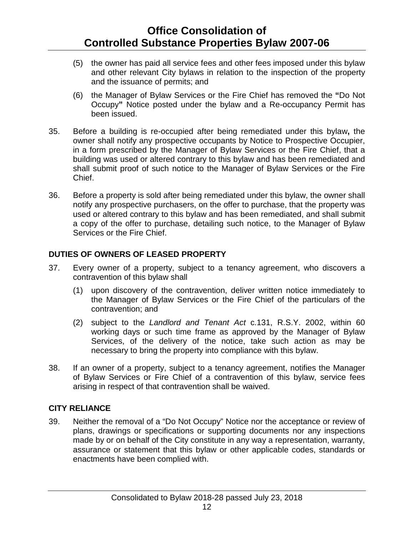- (5) the owner has paid all service fees and other fees imposed under this bylaw and other relevant City bylaws in relation to the inspection of the property and the issuance of permits; and
- (6) the Manager of Bylaw Services or the Fire Chief has removed the **"**Do Not Occupy**"** Notice posted under the bylaw and a Re-occupancy Permit has been issued.
- 35. Before a building is re-occupied after being remediated under this bylaw**,** the owner shall notify any prospective occupants by Notice to Prospective Occupier, in a form prescribed by the Manager of Bylaw Services or the Fire Chief, that a building was used or altered contrary to this bylaw and has been remediated and shall submit proof of such notice to the Manager of Bylaw Services or the Fire Chief.
- 36. Before a property is sold after being remediated under this bylaw, the owner shall notify any prospective purchasers, on the offer to purchase, that the property was used or altered contrary to this bylaw and has been remediated, and shall submit a copy of the offer to purchase, detailing such notice, to the Manager of Bylaw Services or the Fire Chief.

### **DUTIES OF OWNERS OF LEASED PROPERTY**

- 37. Every owner of a property, subject to a tenancy agreement, who discovers a contravention of this bylaw shall
	- (1) upon discovery of the contravention, deliver written notice immediately to the Manager of Bylaw Services or the Fire Chief of the particulars of the contravention; and
	- (2) subject to the *Landlord and Tenant Act* c.131, R.S.Y. 2002, within 60 working days or such time frame as approved by the Manager of Bylaw Services, of the delivery of the notice, take such action as may be necessary to bring the property into compliance with this bylaw.
- 38. If an owner of a property, subject to a tenancy agreement, notifies the Manager of Bylaw Services or Fire Chief of a contravention of this bylaw, service fees arising in respect of that contravention shall be waived.

### **CITY RELIANCE**

39. Neither the removal of a "Do Not Occupy" Notice nor the acceptance or review of plans, drawings or specifications or supporting documents nor any inspections made by or on behalf of the City constitute in any way a representation, warranty, assurance or statement that this bylaw or other applicable codes, standards or enactments have been complied with.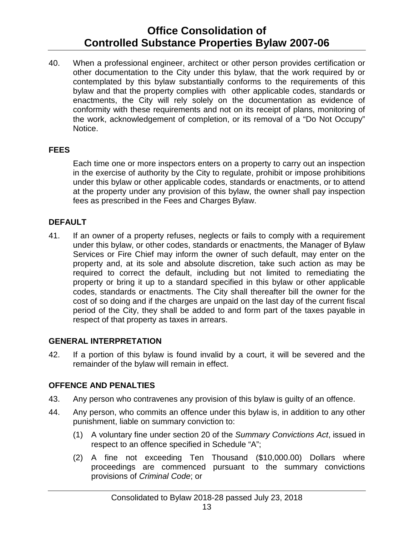40. When a professional engineer, architect or other person provides certification or other documentation to the City under this bylaw, that the work required by or contemplated by this bylaw substantially conforms to the requirements of this bylaw and that the property complies with other applicable codes, standards or enactments, the City will rely solely on the documentation as evidence of conformity with these requirements and not on its receipt of plans, monitoring of the work, acknowledgement of completion, or its removal of a "Do Not Occupy" Notice.

### **FEES**

Each time one or more inspectors enters on a property to carry out an inspection in the exercise of authority by the City to regulate, prohibit or impose prohibitions under this bylaw or other applicable codes, standards or enactments, or to attend at the property under any provision of this bylaw, the owner shall pay inspection fees as prescribed in the Fees and Charges Bylaw.

### **DEFAULT**

41. If an owner of a property refuses, neglects or fails to comply with a requirement under this bylaw, or other codes, standards or enactments, the Manager of Bylaw Services or Fire Chief may inform the owner of such default, may enter on the property and, at its sole and absolute discretion, take such action as may be required to correct the default, including but not limited to remediating the property or bring it up to a standard specified in this bylaw or other applicable codes, standards or enactments. The City shall thereafter bill the owner for the cost of so doing and if the charges are unpaid on the last day of the current fiscal period of the City, they shall be added to and form part of the taxes payable in respect of that property as taxes in arrears.

#### **GENERAL INTERPRETATION**

42. If a portion of this bylaw is found invalid by a court, it will be severed and the remainder of the bylaw will remain in effect.

#### **OFFENCE AND PENALTIES**

- 43. Any person who contravenes any provision of this bylaw is guilty of an offence.
- 44. Any person, who commits an offence under this bylaw is, in addition to any other punishment, liable on summary conviction to:
	- (1) A voluntary fine under section 20 of the *Summary Convictions Act*, issued in respect to an offence specified in Schedule "A";
	- (2) A fine not exceeding Ten Thousand (\$10,000.00) Dollars where proceedings are commenced pursuant to the summary convictions provisions of *Criminal Code*; or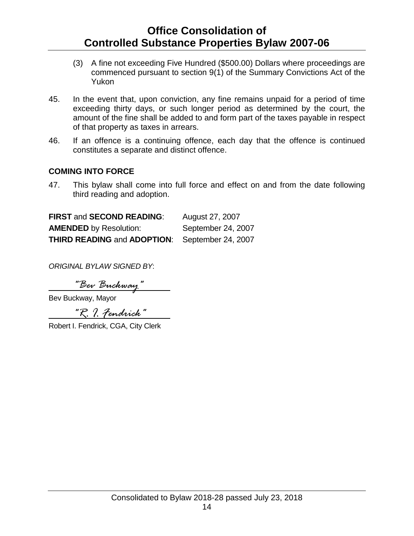- (3) A fine not exceeding Five Hundred (\$500.00) Dollars where proceedings are commenced pursuant to section 9(1) of the Summary Convictions Act of the Yukon
- 45. In the event that, upon conviction, any fine remains unpaid for a period of time exceeding thirty days, or such longer period as determined by the court, the amount of the fine shall be added to and form part of the taxes payable in respect of that property as taxes in arrears.
- 46. If an offence is a continuing offence, each day that the offence is continued constitutes a separate and distinct offence.

#### **COMING INTO FORCE**

47. This bylaw shall come into full force and effect on and from the date following third reading and adoption.

| <b>FIRST and SECOND READING:</b>   | August 27, 2007    |
|------------------------------------|--------------------|
| <b>AMENDED</b> by Resolution:      | September 24, 2007 |
| <b>THIRD READING and ADOPTION:</b> | September 24, 2007 |

*ORIGINAL BYLAW SIGNED BY*:

*"Bev Buckway"*

Bev Buckway, Mayor

*"R. I. Fendrick"*

Robert I. Fendrick, CGA, City Clerk